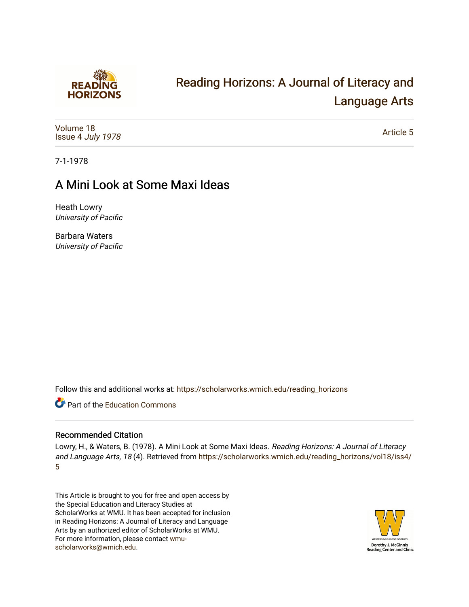

# [Reading Horizons: A Journal of Literacy and](https://scholarworks.wmich.edu/reading_horizons)  [Language Arts](https://scholarworks.wmich.edu/reading_horizons)

[Volume 18](https://scholarworks.wmich.edu/reading_horizons/vol18) Issue 4 [July 1978](https://scholarworks.wmich.edu/reading_horizons/vol18/iss4)

[Article 5](https://scholarworks.wmich.edu/reading_horizons/vol18/iss4/5) 

7-1-1978

### A Mini Look at Some Maxi Ideas

Heath Lowry University of Pacific

Barbara Waters University of Pacific

Follow this and additional works at: [https://scholarworks.wmich.edu/reading\\_horizons](https://scholarworks.wmich.edu/reading_horizons?utm_source=scholarworks.wmich.edu%2Freading_horizons%2Fvol18%2Fiss4%2F5&utm_medium=PDF&utm_campaign=PDFCoverPages)

**C** Part of the [Education Commons](http://network.bepress.com/hgg/discipline/784?utm_source=scholarworks.wmich.edu%2Freading_horizons%2Fvol18%2Fiss4%2F5&utm_medium=PDF&utm_campaign=PDFCoverPages)

### Recommended Citation

Lowry, H., & Waters, B. (1978). A Mini Look at Some Maxi Ideas. Reading Horizons: A Journal of Literacy and Language Arts, 18 (4). Retrieved from [https://scholarworks.wmich.edu/reading\\_horizons/vol18/iss4/](https://scholarworks.wmich.edu/reading_horizons/vol18/iss4/5?utm_source=scholarworks.wmich.edu%2Freading_horizons%2Fvol18%2Fiss4%2F5&utm_medium=PDF&utm_campaign=PDFCoverPages) [5](https://scholarworks.wmich.edu/reading_horizons/vol18/iss4/5?utm_source=scholarworks.wmich.edu%2Freading_horizons%2Fvol18%2Fiss4%2F5&utm_medium=PDF&utm_campaign=PDFCoverPages) 

This Article is brought to you for free and open access by the Special Education and Literacy Studies at ScholarWorks at WMU. It has been accepted for inclusion in Reading Horizons: A Journal of Literacy and Language Arts by an authorized editor of ScholarWorks at WMU. For more information, please contact [wmu](mailto:wmu-scholarworks@wmich.edu)[scholarworks@wmich.edu.](mailto:wmu-scholarworks@wmich.edu)

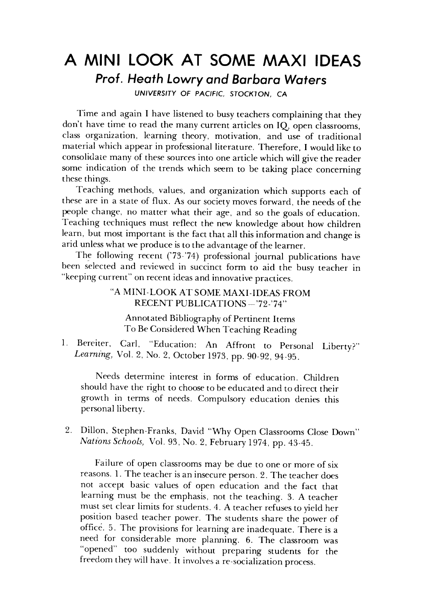### *A MINI LOOK AT SOME MAXI IDEAS* **A MINI LOOK AT SOME MAXI IDEAS**  *Prof. Heath Lowry and Barbara Waters* **Prof. Heath Lowry and Barbara Waters**

**UNIVERSITY OF PACIFIC, STOCKTON, CA** UNIVERSITY OF PACIFIC, STOCKTON, CA

Time and again I have listened to busy teachers complaining that they don't have time to read the many current articles on IQ, open classrooms, don't have time to read the many current articles on IQ, open classrooms, class organization, learning theory, motivation, and use of traditional class organization, learning theory, motivation, and use of traditional material which appear in professional literature. Therefore, I would like to material which appear in professional literature. Therefore, I would like to consolidate manyof these sources into one articlewhich will give the reader consolidate many of these sources into one article which will give the reader some indication of the trends which seem to be taking place concerning some indication of the trends which seem to be taking place concerning these things. these things.

Teaching methods, values, and organization which supports each of Teaching methods, values, and organization which supports each of these are in a state of flux. As our society moves forward, the needs of the these are in a state of flux. As our society moves forward, the needs of the people change, no matter what their age, and so the goals of education. people change, no matter what their age, and so the goals of education. Teaching techniques must reflect the new knowledge about how children Teaching techniques must reflect the new knowledge about how children learn, but most important is the fact that all this information and change is arid unless what we produce is to the advantage of the learner.

The following recent (73-74) professional journal publications have The following recent ('73-'74) professional journal publications have been selected and reviewed in succinct form to aid the busy teacher in "keeping current" on recentideas and innovative practices. "keeping current" on recent ideas and innovative practices.

#### "A MINI-LOOK AT SOME MAXI-IDEAS FROM "A MINI -LOOK AT SOME MAXI -IDEAS- FROM RECENT PUBLICATIONS - '72-'74''

Annotated Bibliography of Pertinent Items Annotated Bibliogra phy of Pertinent Items To BeConsideredWhen Teaching Reading To Be Considered When Reading

1. Bereiter, Carl, "Education: An Affront to Personal Liberty?" 1. Bereiter, Carl, "Education: An Affront to Personal Liberty?" Learning, Vol. 2, No. 2, October 1973, pp. 90-92, 94-95.

Needs determine interest in forms of education. Children Needs determine interest in forrns of education. Children should have the right to choose to be educated and to direct their should have the right to choose to be educated and to direct their growth in terms of needs. Compulsory education denies this growth in terms of needs. Compulsory education denies this personal liberty. personal liberty.

2. Dillon, Stephen-Franks, David "Why Open Classrooms Close Down" 2. Dillon, Stephen-Franks, David "Why Open Classrooms Close Down" **Nations Schools,** Vol. 93, No. 2, February 1974, pp. 43-45. *Natz"ons Schools)* Vol. 93, No.2, February 1974, pp. 43-45.

Failure of open classrooms may be due to one or more of six Failure of open classrooms may be due to one or more of six reasons. 1. The teacher is an insecure person. 2. The teacher does not accept basic values of open education and the fact that not accept basic values of open education and the fact that learning must be the emphasis, not the teaching. 3. A teacher learning must be the emphasis, not the teaching. 3. A teacher must set clear limits for students. 4. A teacher refuses to yield her position based teacher power. The students share the power of position based teacher power. The students share the power of office. 5. The provisions for learning are inadequate. There is a office. 5. The provisions for learning are inadequate. There is a need for considerable more planning. 6. The classroom was need for considerable more planning. 6. The classroom was "opened" too suddenly without preparing students for the "opened" too suddenly without preparing students for the freedom they will have. It involves a re-socialization process. freedom they will have. It involves a re-socialization process.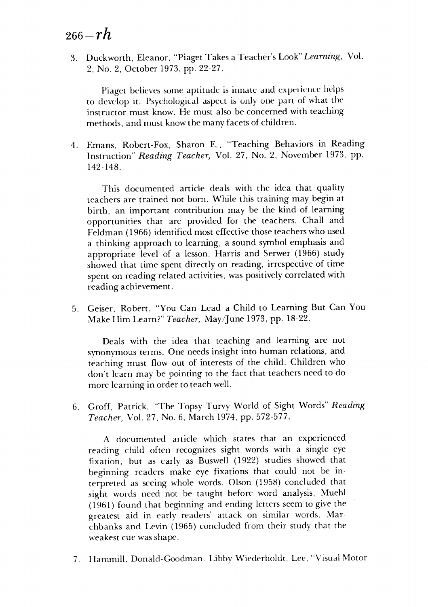## <sup>266</sup>**-rh** *266-rh*

3. Duckworth, Eleanor, "Piaget Takes a Teacher's Look" **Learning,** Vol. 3. Duckworth, Eleanor, "Piaget Takes a Teacher's Look" *Learning)* Vol. 2, No. 2, October 1973, pp. 22-27. 2, No.2, October 1973, pp. 22-27.

Piaget believes some aptitude is innate and experience helps to develop it. Psychological aspect is only one part of what the instructor must know. He must also be concerned with teaching instructor must know. He must also be concerned with teaching methods, and must know the many facets of children. methods, and must know the many facets of children.

4. Emans, Robert-Fox, Sharon E., "Teaching Behaviors in Reading 4. Emans, Robert-Fox, Sharon E., "Teaching Behaviors in Reading Instruction" **Reading Teacher,** Vol. 27, No. 2, November 1973, pp. Instruction" *Reading Teacher)* Vol. 27, No.2, November 1973, pp. 142-148. 142-148.

This documented article deals with the idea that quality This documented article deals with the idea that quality teachers are trained not born. While this training may begin at teachers are trained not born. While this training may begin at birth, an important contribution may be the kind of learning birth, an important contribution may be the kind of learning opportunities that are provided for the teachers. Chall and opportunities that are provided for the teachers. Chall and Feldman (1966) identified most effective those teachers who used Feldman (1966) identified most effective those teachers who used a thinking approach to learning, a sound symbol emphasis and a thinking approach to learning, a sound symbol emphasis and appropriate level of a lesson. Harris and Serwer (1966) study appropriate level of a lesson. Harris and Serwer (1966) study showed that time spent directly on reading, irrespective of time showed that time spent directly on reading, irrespective of time spent on reading related activities, was positively correlated with reading achievement. reading achievement.

5. Geiser, Robert, "You Can Lead a Child to Learning But Can You 5. Geiser, Robert. "You Can Lead a Child to Learning But Can You Make Him Learn?" **Teacher,** May/June 1973, pp. 18-22. Him Learn?" *Teacher,* May *IJune* 1973, pp. 18-22.

Deals with the idea that teaching and learning are not Deals with the idea that teaching and learning are not synonymous terms. One needs insight into human relations, and synonymous terms. One needs insight into human relations, and teaching must flow out of interests of the child. Children who *<sup>o</sup>* tf'<lching must flow out of interests of the child. Children who don't learn may be pointing to the fact that teachers need to do don't learn may be pointing to the fact that teachers need to do more learning in order to teach well. more learning in order to teach well.

6. Groff, Patrick, "The Topsy Turvy World of Sight Words" **Reading** 6. Groff, Patrick, "The Topsy Turvy World of Sight Words" *Reading*  **Teacher,** Vol. 27, No. 6, March 1974, pp. 572-577. *Teacher,* Vol. 27, No.6, March 1974, pp. 572-577.

A documented article which states that an experienced A documented article which states that an experienced reading child often recognizes sight words with a single eye reading child often recognizes sight words with a single eye fixation, but as early as Buswell (1922) studies showed that fixation, but as early as Buswell (1922) studies showed that beginning readers make eye fixations that could not be in beginning readers make eye fixations that could not be interpreted as seeing whole words. Olson (1958) concluded that terpreted as seeing whole words. Olson (1958) concluded that sight words need not be taught before word analysis, Muehl sight words need not be taught before word analysis, Muehl (1961) found that beginning and ending letters seem to give the (1961) found that beginning and ending letters seem to give the greatest aid in early readers' attack on similar words. Mar-greatest aid in early readers' attack on similar words. Marchbanks and Levin (1965) concluded from their study that the chbanks and Levin (1965) concluded from their study that the weakest cue was shape. weakest cue was shape.

7. Hammill, Donald-Goodman. Libby-Wiederholdt, Lee, "Visual Motor 7. Hammill, Donald-Goodman. Libby-Wiederholdt, Lee, "Visual Motor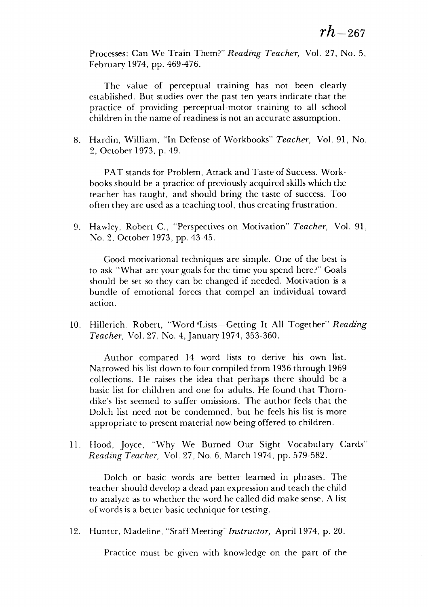Processes: Can We Train Them?" **Reading Teacher,** Vol. 27, No. 5, Processes: Can We Train Them?" *Reading Teacher,* Vol. 27, No.5, February 1974, pp. 469-476. February 1974, pp. 469-476.

The value of perceptual training has not been clearly established. But studies over the past ten years indicate that the established. But studies over the past ten years indicate that the practice of providing perceptual-motor training to all school practice of providing perceptual-motor training to all school children in the name of readiness is not an accurate assumption. children in the name of is not an accurate assumption.

8. Hardin, William, "In Defense of Workbooks" **Teacher,** Vol. 91, No. 8. Hardin, William, "In Defense of Workbooks" *Teacher,* Vol. 91, No. 2, October 1973, p. 49. 2, October 1973, p. 49.

PAT stands for Problem, Attack and Taste of Success. Work PAT stands for Problem, Attack and Taste of Success. Workbooks should be a practice of previously acquired skills which the teacher has taught, and should bring the taste of success. Too teacher has taught, and should bring the taste of success. Too often they are used as a teaching tool, thus creating frustration. often as a teaching tool, thus creating frustration.

9. Hawley, Robert C, "Perspectives on Motivation" **Teacher,** Vol. 91, 9. Hawley, Robert c., "Perspectives on Motivation" *Teacher,* Vol. 91, No. 2, October 1973, pp. 43-45. No.2, October 1973, pp. 43-45.

Good motivational techniques are simple. One of the best is to ask "What are your goals for the time you spend here?" Goals should be set so they can be changed if needed. Motivation is a should be set so they can be changed if needed. Motivation is a bundle of emotional forces that compel an individual toward bundle of emotional forces that compel an individual toward action. action.

10. Hillerich, Robert, "Word Lists-Getting It All Together" Reading **Teacher,** Vol. 27, No. 4, January 1974, 353-360. *Teacher,* Vol. 27, No. 4,January 1974,353-360.

Author compared 14 word lists to derive his own list. Author compared 14 word lists to derive his own list. Narrowed his list down to four compiled from 1936 through 1969 Narrowed his list four compiled from 1936 through 1969 collections. He raises the idea that perhaps there should be a collections. He raises the idea that perhaps there should be a basic list for children and one for adults. He found that Thorn-basic list for children and one for adults. He found that Thorndike's list seemed to suffer omissions. The author feels that the dike's list seemed to suffer omissions. The author feels that the Dolch list need not be condemned, but he feels his list is more Dolch list need not be condemned, but he feels his list is more appropriate to present material now being offered to children. appropriate to present material now being offered to children.

11. Hood, Joyce, "Why We Burned Our Sight Vocabulary Cards" 11. Hood, Joyce, "Why We Burned Our Sight Vocabulary Cards" **Reading Teacher,** Vol. 27, No. 6, March 1974, pp. 579-582. *Reading Teacher,* Vol. 27, No.6, March 1974, pp. 579-582.

Dolch or basic words are better learned in phrases. The Dolch or basic words are better learned in phrases. The teacher should develop a dead pan expression and teach the child teacher should develop a dead pan expression and teach the child to analyze as to whether the word he called did make sense. A list to analyze as to whether the word he called did make sense. A list of words is a better basic technique for testing.

12. Hunter, Madeline, "Staff Meeting"Instructor, April 1974, p. 20. 12. Hunter, Madeline, "Staff Meeting" *Instructor,* April 1974, p. 20.

Practice must be given with knowledge on the part of the Practice must be given with knowledge on the part of the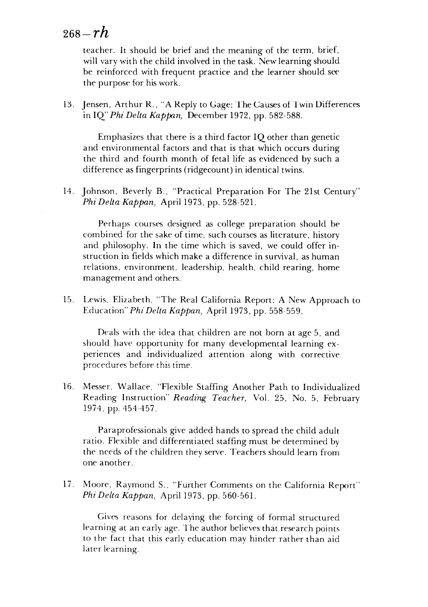## <sup>268</sup>**-rh** *268-rh*

teacher. It should be brief and the meaning of the term, brief, teacher. It should be brief and the meaning of the term, brief, will vary with the child involved in the task. New learning should will vary with the child involved in the task. New learning should be reinforced with frequent practice and the learner should see be reinforced with frequent practice and the learner should see the purpose for his work. the purpose for his work.

13. Jensen, Arthur R., "A Reply to Gage: The Causes of Twin Differences in IQ" **Phi Delta Kappan,** December 1972, pp. 582-588. in IQ" *Phi Delta Kappan)* 1972, pp. 582-588.

Emphasizes that there is a third factor IQ other than genetic Emphasizes that there is a third factor IQ other than genetic and environmental factors and that is that which occurs during and environmental factors and that is that which occurs during the third and fourth month of fetal life as evidenced by such a the third and fourth month of fetal life as evidenced by such a difference as fingerprints (ridgecount) in identical twins. difference as fingerprints (ridgecount) in identical twins.

14. Johnson, Beverly B., "Practical Preparation For The 21st Century" 14. Johnson, Beverly B., "Practical Preparation For The 21st Century" **Phi Delta Kappan,** April 1973, pp. 528-521. *Phi Delta Kappan)* April 1973, pp. 528-521.

Perhaps courses designed as college preparation should be Perhaps courses designed as college preparation should be combined for the sake of time, such courses as literature, history and philosophy. In the time which is saved, we could offer in and philosophy. In the time which is saved, we could offer instruction in fields which make a difference in survival, as human struction in fields which make a difference in survival, as human relations, environment, leadership, health, child rearing, home relations, environment, leadership, health, child rearing, home management and others. management and others.

15. Lewis, Elizabeth, "The Real California Report: A New Approach to 15. Lewis, Elizabeth, "The Real California Report: A New Approach to Education" **Phi Delta Kappan,** April 1973, pp. 558-559. Education" *Phi Delta Kappan)* April 1973, pp. 558-559.

Deals with the idea that children are not born at age 5, and should have opportunity for many developmental learning ex should have opportunity for many developmental learning experiences and individualized attention along with corrective<br>procedures before this time. **procedures before this time.** 

16. Messer, Wallace, "Flexible Staffing Another Path to Individualized 16. Messer, Wallace, "Flexible Staffing Another Path to Individualized Reading Instruction" Reading Teacher, Vol. 25, No. 5, February 1974, pp. 454-457. 1974, pp. 454-457.

Paraprofessionals give added hands to spread the child adult Para professionals give added hands to spread child adult ratio. Flexible and differentiated staffing must be determined by ratio. Flexible and differentiated must determined by the needs of the children they serve. Teachers should learn from one another. one another.

17. Moore, Raymond S., "Further Comments on the California Report" 17. Moore, Raymond S .. "Further Comments on the California Report" **Phi Delta Kappan,** April 1973, pp. 560-561. *Phi Delta Kappan,* April 1973, pp. 560-561.

Gives reasons for delaying the forcing of formal structured Gives reasons for delaying the forcing of formal structured learning at an early age. The author believes that research points to the fact that this early education may hinder rather than aid later learning. later learning.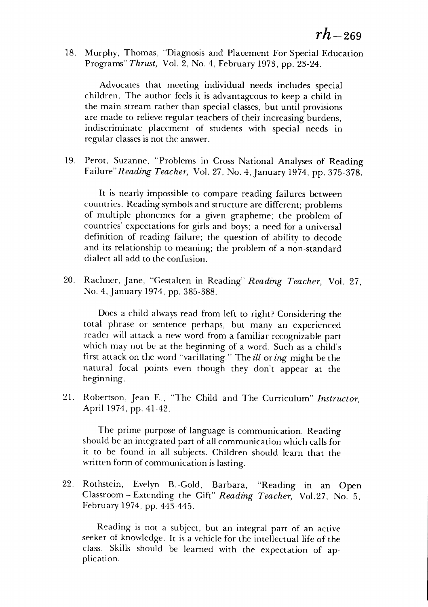18. Murphy, Thomas, "Diagnosis and Placement For Special Education 18. Murphy, Thomas, "Diagnosis and Placement For Special Education Programs" **Thrust,** Vol. 2, No. 4, February 1973, pp. 23-24. Programs" *Thrust)* Vol. 2, No.4, February 1973, pp. 23-24.

Advocates that meeting individual needs includes special Advocates that meeting individual needs includes special children. The author feels it is advantageous to keep a child in children. The author feels it is advantageous to keep a child in the main stream rather than special classes, but until provisions the main stream rather than special classes, but until provisions are made to relieve regular teachers of their increasing burdens, are made to relieve regular teachers of their increasing burdens, indiscriminate placement of students with special needs in indiscriminate placement of students with special needs in regular classes is not the answer. regular classes is not the answer.

19. Perot, Suzanne, "Problems in Cross National Analyses of Reading 19. Perot, Suzanne, "Problems in Cross National Analyses of Reading Failure"Reading **Teacher,** Vol. 27, No. 4, January 1974, pp. 375-378. Failure" *Reading Teacher)* Vol. 27, No.4, January 1974, pp. 375-378.

It is nearly impossible to compare reading failures between It is nearly impossible to compare reading failures between countries. Reading symbols and structure are different; problems countries. Reading symbols and structure are different; problems of multiple phonemes for a given grapheme; the problem of of multiple phonemes for a given grapheme; the problem of countries' expectations for girls and boys; a need for a universal countries' expectations for girls and boys; a need for a universal definition of reading failure; the question of ability to decode definition of reading failure; the question of ability to decode and its relationship to meaning; the problem of a non-standard and its relationship to meaning; the problem of a non-standard dialect all add to the confusion. dialect all add to the confusion.

20. Rachner, Jane, "Gestalten in Reading" **Reading Teacher,** Vol. 27, 20. Rachner, Jane, "Gestalten in Reading" *Reading Teacher)* Vol. 27, No. 4,January 1974, pp. 385-388. No. 4,January 1974, pp. 385-388.

Does a child always read from left to right? Considering the Does a child always read from left to right? Considering the total phrase or sentence perhaps, but many an experienced total phrase or sentence perhaps, but many an experienced reader will attack a new word from a familiar recognizable part reader will attack a new word from a familiar recognizable part which may not be at the beginning of a word. Such as a child's which may not be at the beginning of a word. Such as a child's first attack on the word "vacillating." **Theill oxing** might be the first attack on the word "vacillating." The *zU* or *ing* might be the natural focal points even though they don't appear at the natural focal points even though they don't appear at the beginning. beginning.

21. Robertson, Jean E., "The Child and The Curriculum" **Instructor,** 21. Robertson, Jean E., "The Child and The Curriculum" *Instructor)*  April 1974, pp. 41-42. April 1974, pp. 41-42.

The prime purpose of language is communication. Reading The prime purpose of language is communication. Reading should be an integrated part of all communication which calls for should be an integrated part of all communication which calls for it to be found in all subjects. Children should learn that the it to be found in all subjects. Children should learn that the written form of communication islasting. written form of communication is lasting.

*22.* Rothstein, Evelyn B.-Gold, Barbara, "Reading in an Open 22. Rothstein, Evelyn B. -Gold, Barbara, "Reading in an Open Classroom - Extending the Gift" **Reading Teacher,** Vol.27, No. 5, Classroom - Extending the Gift" *Reading Teacher)* Vo1.27, No.5, February 1974, pp. 443-445. February 1974, pp. 443-445.

Reading is not a subject, but an integral part of an active seeker of knowledge. It is a vehicle for the intellectual life of the seeker of knowledge. It is a vehicle for the intellectual life of the class. Skills should be learned with the expectation of ap class. Skills should be learned with the expectation of application. plication.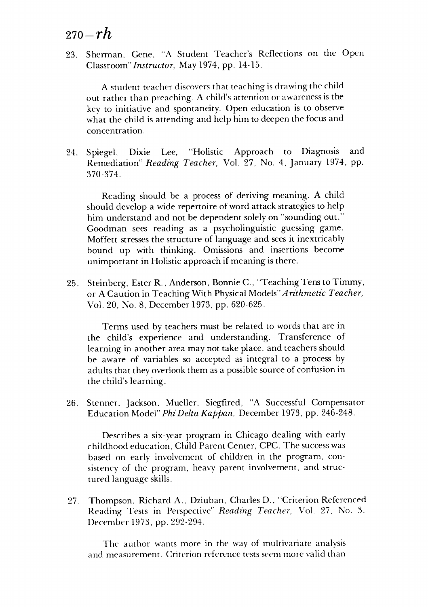## <sup>270</sup>**-rh** *270-rh*

23. Sherman, Gene, "A Student Teacher's Reflections on the Open 23. Shennan, Gene, "A Student Teacher's Reflections on the Open Classroom"Instructor, May 1974, pp. 14-15. *Classroom"Instructor)* May 1974, pp. 14-15.

A student teacher discovers that teaching is drawing the child out rather than preaching. A child's attention or awareness is the key to initiative and spontaneity. Open education is to observe key to initiative and spontaneity. Open education is to observe what the child is attending and help him to deepen the focus and what the child is attending and help him to deepen the focus and concentration. con centra tion.

24. Spiegel, Dixie Lee, "Holistic Approach to Diagnosis and 24. Spiegel, Dixie Lee, "Holistic Approach to Diagnosis and Remediation" **Reading Teacher,** Vol. 27, No. 4, January 1974, pp. Remediation" *Reading Teacher)* Vol. 27, No.4, January 1974, pp. 370-374. 370-374.

Reading should be a process of deriving meaning. A child Reading should be a process deriving meaning. A child should develop a wide repertoire of word attack strategiesto help should develop a wide repertoire of word attack strategies to help him understand and not be dependent solelyon "sounding out." him understand and not be dependent solely on "sounding out." Goodman sees reading as a psycholinguistic guessing game. Goodman sees reading as a psycholinguistic guessing game. Moffett stresses the structure of language and sees it inextricably bound up with thinking. Omissions and insertions become bound up with thinking. Omissions and insertions become unimportant in Holistic approach if meaning is there. unimportant in Holistic approach if meaning is there.

25. Steinberg, Ester R., Anderson, BonnieC., "Teaching Tens to Timmy, 25. Steinberg, Ester R., Anderson, Bonnie C., "Teaching Tens to Timmy, or A Caution in Teaching With Physical Models" *Arithmetic Teacher,* Vol. 20, No. 8, December 1973, pp. 620-625. Vol. 20, No.8, December 1973, pp. 620-625.

Terms used by teachers must be related to words that are in Tenns used by teachers must be related to words that are in the child's experience and understanding. Transference of the child's experience and understanding. Transference of learning in another area may not take place, and teachers should be aware of variables so accepted as integral to a process by be aware of variables so accepted as integral to a process by adults that they overlook them as a possible source of confusion in adults that they overlook them as a possible source of confusion in the child's learning. the child's learning.

26. Stenner, Jackson, Mueller, Siegfired, "A Successful Compensator 26. Stenner, Jackson. Mueller. Siegfired, "A Successful Compensator Education Model" **Phi Delta Kappan,** December 1973, pp. 246-248. Education Model" *Phi Delta Kappan)* December 1973, pp. 246-248.

Describes a six-year program in Chicago dealing with early Describes a six-year program in Chicago dealing with early childhood education, Child Parent Center, CPC. The success was childhood education, Child Parent Center, Cpe. The success was based on early involvement of children in the program, con based on early involvement of children in the program, consistency of the program, heavy parent involvement, and struc sistency of the program, heavy parent involvement. and structured language skills. tured language skills.

27. Thompson, Richard A., Dziuban, Charles D., "Criterion Referenced 27. Thompson. Richard A .. Dziuban, Charles D., "Criterion Referenced Reading Tests in Perspective" **Reading Teacher,** Vol. 27, No. 3, Reading Tests in Perspective" *Reading Teacher,* Vol. 27. No.3, December 1973, pp. 292-294. December 1973, pp. 292-294.

The author wants more in the way of multivariate analysis The author wants more in the way of multivariate analysis and measurement. Criterion reference tests seem more valid than and measurement. Criterion reference tests seem more valid than